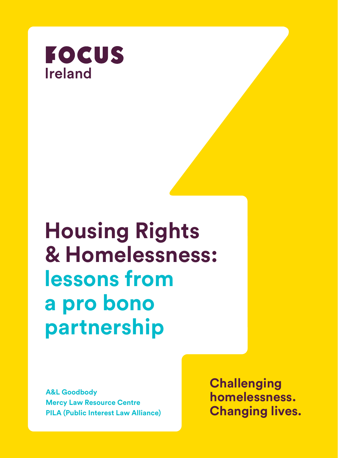

# **Housing Rights & Homelessness: lessons from a pro bono partnership**

**A&L Goodbody Mercy Law Resource Centre PILA (Public Interest Law Alliance)** **Challenging homelessness. Changing lives.**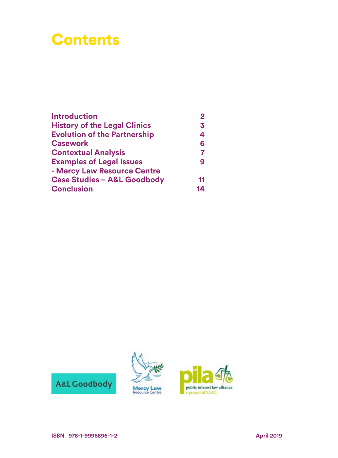# **Contents**

| <b>Introduction</b>                    | $\mathbf{2}$   |
|----------------------------------------|----------------|
| <b>History of the Legal Clinics</b>    | 3              |
| <b>Evolution of the Partnership</b>    | 4              |
| <b>Casework</b>                        | 6              |
| <b>Contextual Analysis</b>             | $\overline{7}$ |
| <b>Examples of Legal Issues</b>        | 9              |
| - Mercy Law Resource Centre            |                |
| <b>Case Studies - A&amp;L Goodbody</b> | 11             |
| <b>Conclusion</b>                      | 14             |

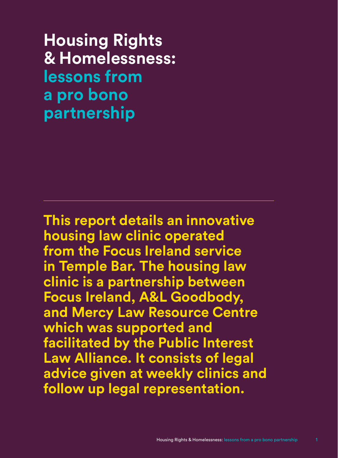**Housing Rights & Homelessness: lessons from a pro bono partnership**

**This report details an innovative housing law clinic operated from the Focus Ireland service in Temple Bar. The housing law clinic is a partnership between Focus Ireland, A&L Goodbody, and Mercy Law Resource Centre which was supported and facilitated by the Public Interest Law Alliance. It consists of legal advice given at weekly clinics and follow up legal representation.**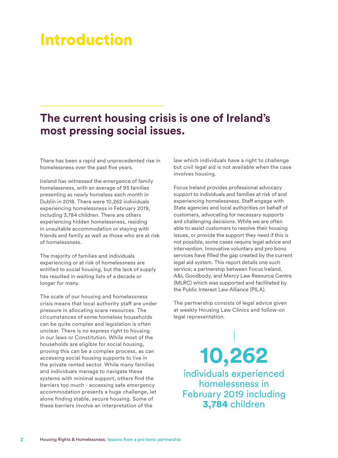# Introduction

#### **The current housing crisis is one of Ireland's most pressing social issues.**

There has been a rapid and unprecedented rise in homelessness over the past five years.

Ireland has witnessed the emergence of family homelessness, with an average of 93 families presenting as newly homeless each month in Dublin in 2018. There were 10,262 individuals experiencing homelessness in February 2019, including 3,784 children. There are others experiencing hidden homelessness, residing in unsuitable accommodation or staying with friends and family as well as those who are at risk of homelessness.

The majority of families and individuals experiencing or at risk of homelessness are entitled to social housing, but the lack of supply has resulted in waiting lists of a decade or longer for many.

The scale of our housing and homelessness crisis means that local authority staff are under pressure in allocating scare resources. The circumstances of some homeless households can be quite complex and legislation is often unclear. There is no express right to housing in our laws or Constitution. While most of the households are eligible for social housing, proving this can be a complex process, as can accessing social housing supports to live in the private rented sector. While many families and individuals manage to navigate these systems with minimal support, others find the barriers too much - accessing safe emergency accommodation presents a huge challenge, let alone finding stable, secure housing. Some of these barriers involve an interpretation of the

law which individuals have a right to challenge but civil legal aid is not available when the case involves housing.

Focus Ireland provides professional advocacy support to individuals and families at risk of and experiencing homelessness. Staff engage with State agencies and local authorities on behalf of customers, advocating for necessary supports and challenging decisions. While we are often able to assist customers to resolve their housing issues, or provide the support they need if this is not possible, some cases require legal advice and intervention. Innovative voluntary and pro bono services have filled the gap created by the current legal aid system. This report details one such service; a partnership between Focus Ireland, A&L Goodbody, and Mercy Law Resource Centre (MLRC) which was supported and facilitated by the Public Interest Law Alliance (PILA).

The partnership consists of legal advice given at weekly Housing Law Clinics and follow-on legal representation.

**10,262** individuals experienced homelessness in

February 2019 including 3,784 children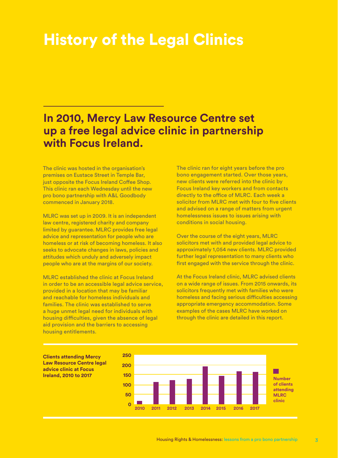# History of the Legal Clinics

#### **In 2010, Mercy Law Resource Centre set up a free legal advice clinic in partnership with Focus Ireland.**

The clinic was hosted in the organisation's premises on Eustace Street in Temple Bar, just opposite the Focus Ireland Coffee Shop. This clinic ran each Wednesday until the new pro bono partnership with A&L Goodbody commenced in January 2018.

MLRC was set up in 2009. It is an independent law centre, registered charity and company limited by guarantee. MLRC provides free legal advice and representation for people who are homeless or at risk of becoming homeless. It also seeks to advocate changes in laws, policies and attitudes which unduly and adversely impact people who are at the margins of our society.

MLRC established the clinic at Focus Ireland in order to be an accessible legal advice service, provided in a location that may be familiar and reachable for homeless individuals and families. The clinic was established to serve a huge unmet legal need for individuals with housing difficulties, given the absence of legal aid provision and the barriers to accessing housing entitlements.

The clinic ran for eight years before the pro bono engagement started. Over those years, new clients were referred into the clinic by Focus Ireland key workers and from contacts directly to the office of MLRC. Each week a solicitor from MLRC met with four to five clients and advised on a range of matters from urgent homelessness issues to issues arising with conditions in social housing.

Over the course of the eight years, MLRC solicitors met with and provided legal advice to approximately 1,054 new clients. MLRC provided further legal representation to many clients who first engaged with the service through the clinic.

At the Focus Ireland clinic, MLRC advised clients on a wide range of issues. From 2015 onwards, its solicitors frequently met with families who were homeless and facing serious difficulties accessing appropriate emergency accommodation. Some examples of the cases MLRC have worked on through the clinic are detailed in this report.

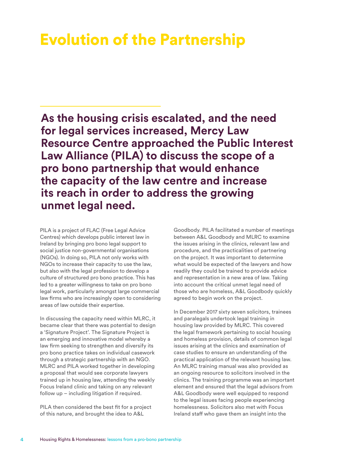## Evolution of the Partnership

**As the housing crisis escalated, and the need for legal services increased, Mercy Law Resource Centre approached the Public Interest Law Alliance (PILA) to discuss the scope of a pro bono partnership that would enhance the capacity of the law centre and increase its reach in order to address the growing unmet legal need.** 

PILA is a project of FLAC (Free Legal Advice Centres) which develops public interest law in Ireland by bringing pro bono legal support to social justice non-governmental organisations (NGOs). In doing so, PILA not only works with NGOs to increase their capacity to use the law, but also with the legal profession to develop a culture of structured pro bono practice. This has led to a greater willingness to take on pro bono legal work, particularly amongst large commercial law firms who are increasingly open to considering areas of law outside their expertise.

In discussing the capacity need within MLRC, it became clear that there was potential to design a 'Signature Project'. The Signature Project is an emerging and innovative model whereby a law firm seeking to strengthen and diversify its pro bono practice takes on individual casework through a strategic partnership with an NGO. MLRC and PILA worked together in developing a proposal that would see corporate lawyers trained up in housing law, attending the weekly Focus Ireland clinic and taking on any relevant follow up – including litigation if required.

PILA then considered the best fit for a project of this nature, and brought the idea to A&L

Goodbody. PILA facilitated a number of meetings between A&L Goodbody and MLRC to examine the issues arising in the clinics, relevant law and procedure, and the practicalities of partnering on the project. It was important to determine what would be expected of the lawyers and how readily they could be trained to provide advice and representation in a new area of law. Taking into account the critical unmet legal need of those who are homeless, A&L Goodbody quickly agreed to begin work on the project.

In December 2017 sixty seven solicitors, trainees and paralegals undertook legal training in housing law provided by MLRC. This covered the legal framework pertaining to social housing and homeless provision, details of common legal issues arising at the clinics and examination of case studies to ensure an understanding of the practical application of the relevant housing law. An MLRC training manual was also provided as an ongoing resource to solicitors involved in the clinics. The training programme was an important element and ensured that the legal advisors from A&L Goodbody were well equipped to respond to the legal issues facing people experiencing homelessness. Solicitors also met with Focus Ireland staff who gave them an insight into the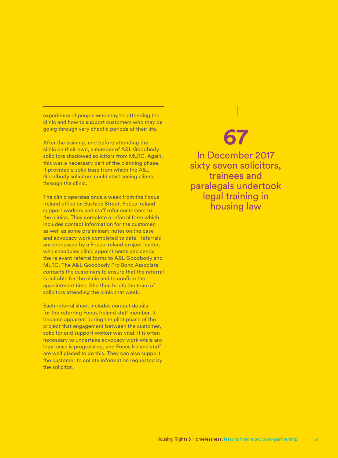experience of people who may be attending the clinic and how to support customers who may be going through very chaotic periods of their life.

After the training, and before attending the clinic on their own, a number of A&L Goodbody solicitors shadowed solicitors from MLRC. Again, this was a necessary part of the planning phase. It provided a solid base from which the A&L Goodbody solicitors could start seeing clients through the clinic.

The clinic operates once a week from the Focus Ireland office on Eustace Street. Focus Ireland support workers and staff refer customers to the clinics. They complete a referral form which includes contact information for the customer, as well as some preliminary notes on the case and advocacy work completed to date. Referrals are processed by a Focus Ireland project leader, who schedules clinic appointments and sends the relevant referral forms to A&L Goodbody and MLRC. The A&L Goodbody Pro Bono Associate contacts the customers to ensure that the referral is suitable for the clinic and to confirm the appointment time. She then briefs the team of solicitors attending the clinic that week.

Each referral sheet includes contact details for the referring Focus Ireland staff member. It became apparent during the pilot phase of the project that engagement between the customer, solicitor and support worker was vital. It is often necessary to undertake advocacy work while any legal case is progressing, and Focus Ireland staff are well placed to do this. They can also support the customer to collate information requested by the solicitor.

# **67**

In December 2017 sixty seven solicitors, trainees and paralegals undertook legal training in housing law

5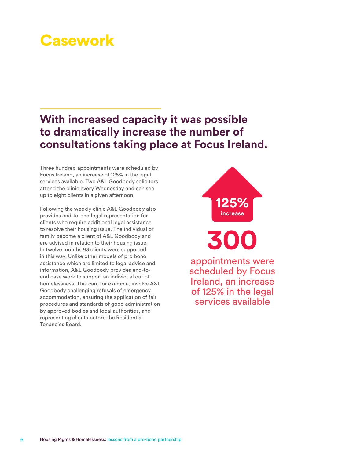# **Casework**

### **With increased capacity it was possible to dramatically increase the number of consultations taking place at Focus Ireland.**

Three hundred appointments were scheduled by Focus Ireland, an increase of 125% in the legal services available. Two A&L Goodbody solicitors attend the clinic every Wednesday and can see up to eight clients in a given afternoon.

Following the weekly clinic A&L Goodbody also provides end-to-end legal representation for clients who require additional legal assistance to resolve their housing issue. The individual or family become a client of A&L Goodbody and are advised in relation to their housing issue. In twelve months 93 clients were supported in this way. Unlike other models of pro bono assistance which are limited to legal advice and information, A&L Goodbody provides end-toend case work to support an individual out of homelessness. This can, for example, involve A&L Goodbody challenging refusals of emergency accommodation, ensuring the application of fair procedures and standards of good administration by approved bodies and local authorities, and representing clients before the Residential Tenancies Board.



**300** appointments were scheduled by Focus Ireland, an increase of 125% in the legal services available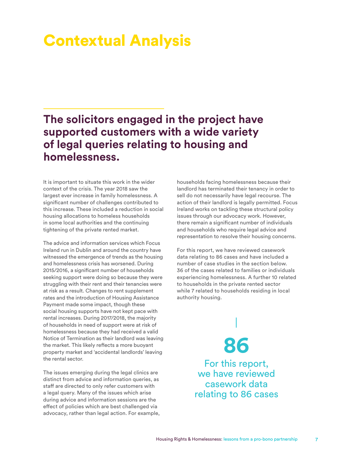# Contextual Analysis

#### **The solicitors engaged in the project have supported customers with a wide variety of legal queries relating to housing and homelessness.**

It is important to situate this work in the wider context of the crisis. The year 2018 saw the largest ever increase in family homelessness. A significant number of challenges contributed to this increase. These included a reduction in social housing allocations to homeless households in some local authorities and the continuing tightening of the private rented market.

The advice and information services which Focus Ireland run in Dublin and around the country have witnessed the emergence of trends as the housing and homelessness crisis has worsened. During 2015/2016, a significant number of households seeking support were doing so because they were struggling with their rent and their tenancies were at risk as a result. Changes to rent supplement rates and the introduction of Housing Assistance Payment made some impact, though these social housing supports have not kept pace with rental increases. During 2017/2018, the majority of households in need of support were at risk of homelessness because they had received a valid Notice of Termination as their landlord was leaving the market. This likely reflects a more buoyant property market and 'accidental landlords' leaving the rental sector.

The issues emerging during the legal clinics are distinct from advice and information queries, as staff are directed to only refer customers with a legal query. Many of the issues which arise during advice and information sessions are the effect of policies which are best challenged via advocacy, rather than legal action. For example, households facing homelessness because their landlord has terminated their tenancy in order to sell do not necessarily have legal recourse. The action of their landlord is legally permitted. Focus Ireland works on tackling these structural policy issues through our advocacy work. However, there remain a significant number of individuals and households who require legal advice and representation to resolve their housing concerns.

For this report, we have reviewed casework data relating to 86 cases and have included a number of case studies in the section below. 36 of the cases related to families or individuals experiencing homelessness. A further 10 related to households in the private rented sector while 7 related to households residing in local authority housing.

**86**

For this report, we have reviewed casework data relating to 86 cases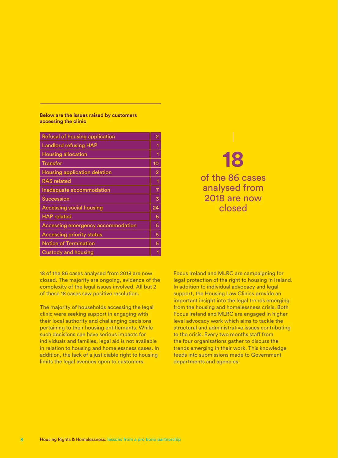#### **Below are the issues raised by customers accessing the clinic**

| Refusal of housing application    | 2              |
|-----------------------------------|----------------|
| <b>Landlord refusing HAP</b>      | 1              |
| <b>Housing allocation</b>         | 1              |
| <b>Transfer</b>                   | 10             |
| Housing application deletion      | $\overline{2}$ |
| <b>RAS</b> related                | 1              |
| Inadequate accommodation          | 7              |
| <b>Succession</b>                 | 3              |
| <b>Accessing social housing</b>   | 24             |
| <b>HAP</b> related                | 6              |
| Accessing emergency accommodation | 6              |
| <b>Accessing priority status</b>  | 5              |
| <b>Notice of Termination</b>      | 5              |
| Custody and housing               |                |

### **18** of the 86 cases analysed from 2018 are now closed

18 of the 86 cases analysed from 2018 are now closed. The majority are ongoing, evidence of the complexity of the legal issues involved. All but 2 of these 18 cases saw positive resolution.

The majority of households accessing the legal clinic were seeking support in engaging with their local authority and challenging decisions pertaining to their housing entitlements. While such decisions can have serious impacts for individuals and families, legal aid is not available in relation to housing and homelessness cases. In addition, the lack of a justiciable right to housing limits the legal avenues open to customers.

Focus Ireland and MLRC are campaigning for legal protection of the right to housing in Ireland. In addition to individual advocacy and legal support, the Housing Law Clinics provide an important insight into the legal trends emerging from the housing and homelessness crisis. Both Focus Ireland and MLRC are engaged in higher level advocacy work which aims to tackle the structural and administrative issues contributing to the crisis. Every two months staff from the four organisations gather to discuss the trends emerging in their work. This knowledge feeds into submissions made to Government departments and agencies.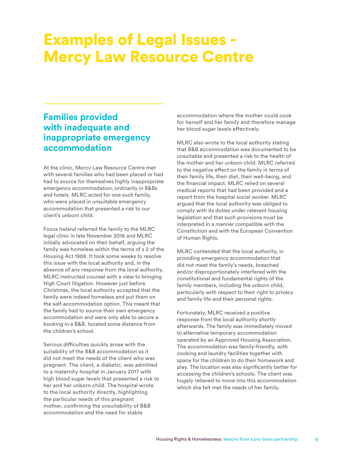# Examples of Legal Issues - Mercy Law Resource Centre

#### **Families provided with inadequate and inappropriate emergency accommodation**

At the clinic, Mercy Law Resource Centre met with several families who had been placed or had had to source for themselves highly inappropriate emergency accommodation, ordinarily in B&Bs and hotels. MLRC acted for one such family, who were placed in unsuitable emergency accommodation that presented a risk to our client's unborn child.

Focus Ireland referred the family to the MLRC legal clinic in late November 2016 and MLRC initially advocated on their behalf, arguing the family was homeless within the terms of s 2 of the Housing Act 1988. It took some weeks to resolve this issue with the local authority and, in the absence of any response from the local authority, MLRC instructed counsel with a view to bringing High Court litigation. However just before Christmas, the local authority accepted that the family were indeed homeless and put them on the self-accommodation option. This meant that the family had to source their own emergency accommodation and were only able to secure a booking in a B&B, located some distance from the children's school.

Serious difficulties quickly arose with the suitability of the B&B accommodation as it did not meet the needs of the client who was pregnant. The client, a diabetic, was admitted to a maternity hospital in January 2017 with high blood sugar levels that presented a risk to her and her unborn child. The hospital wrote to the local authority directly, highlighting the particular needs of this pregnant mother, confirming the unsuitability of B&B accommodation and the need for stable

accommodation where the mother could cook for herself and her family and therefore manage her blood sugar levels effectively.

MLRC also wrote to the local authority stating that B&B accommodation was documented to be unsuitable and presented a risk to the health of the mother and her unborn child. MLRC referred to the negative effect on the family in terms of their family life, their diet, their well-being, and the financial impact. MLRC relied on several medical reports that had been provided and a report from the hospital social worker. MLRC argued that the local authority was obliged to comply with its duties under relevant housing legislation and that such provisions must be interpreted in a manner compatible with the Constitution and with the European Convention of Human Rights.

MLRC contended that the local authority, in providing emergency accommodation that did not meet the family's needs, breached and/or disproportionately interfered with the constitutional and fundamental rights of the family members, including the unborn child, particularly with respect to their right to privacy and family life and their personal rights.

Fortunately, MLRC received a positive response from the local authority shortly afterwards. The family was immediately moved to alternative temporary accommodation operated by an Approved Housing Association. The accommodation was family-friendly, with cooking and laundry facilities together with space for the children to do their homework and play. The location was also significantly better for accessing the children's schools. The client was hugely relieved to move into this accommodation which she felt met the needs of her family.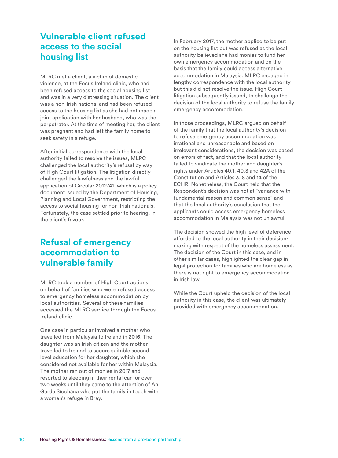#### **Vulnerable client refused access to the social housing list**

MLRC met a client, a victim of domestic violence, at the Focus Ireland clinic, who had been refused access to the social housing list and was in a very distressing situation. The client was a non-Irish national and had been refused access to the housing list as she had not made a joint application with her husband, who was the perpetrator. At the time of meeting her, the client was pregnant and had left the family home to seek safety in a refuge.

After initial correspondence with the local authority failed to resolve the issues, MLRC challenged the local authority's refusal by way of High Court litigation. The litigation directly challenged the lawfulness and the lawful application of Circular 2012/41, which is a policy document issued by the Department of Housing, Planning and Local Government, restricting the access to social housing for non-Irish nationals. Fortunately, the case settled prior to hearing, in the client's favour.

#### **Refusal of emergency accommodation to vulnerable family**

MLRC took a number of High Court actions on behalf of families who were refused access to emergency homeless accommodation by local authorities. Several of these families accessed the MLRC service through the Focus Ireland clinic.

One case in particular involved a mother who travelled from Malaysia to Ireland in 2016. The daughter was an Irish citizen and the mother travelled to Ireland to secure suitable second level education for her daughter, which she considered not available for her within Malaysia. The mother ran out of monies in 2017 and resorted to sleeping in their rental car for over two weeks until they came to the attention of An Garda Síochána who put the family in touch with a women's refuge in Bray.

In February 2017, the mother applied to be put on the housing list but was refused as the local authority believed she had monies to fund her own emergency accommodation and on the basis that the family could access alternative accommodation in Malaysia. MLRC engaged in lengthy correspondence with the local authority but this did not resolve the issue. High Court litigation subsequently issued, to challenge the decision of the local authority to refuse the family emergency accommodation.

In those proceedings, MLRC argued on behalf of the family that the local authority's decision to refuse emergency accommodation was irrational and unreasonable and based on irrelevant considerations, the decision was based on errors of fact, and that the local authority failed to vindicate the mother and daughter's rights under Articles 40.1. 40.3 and 42A of the Constitution and Articles 3, 8 and 14 of the ECHR. Nonetheless, the Court held that the Respondent's decision was not at "variance with fundamental reason and common sense" and that the local authority's conclusion that the applicants could access emergency homeless accommodation in Malaysia was not unlawful.

The decision showed the high level of deference afforded to the local authority in their decisionmaking with respect of the homeless assessment. The decision of the Court in this case, and in other similar cases, highlighted the clear gap in legal protection for families who are homeless as there is not right to emergency accommodation in Irish law.

While the Court upheld the decision of the local authority in this case, the client was ultimately provided with emergency accommodation.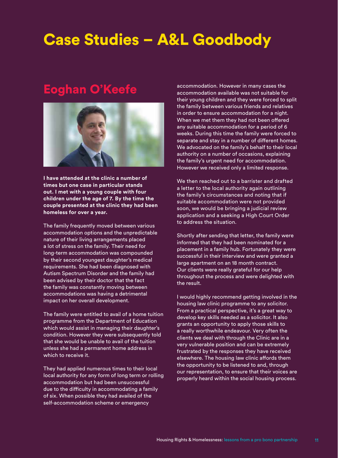# Case Studies – A&L Goodbody

### Eoghan O'Keefe



**I have attended at the clinic a number of times but one case in particular stands out. I met with a young couple with four children under the age of 7. By the time the couple presented at the clinic they had been homeless for over a year.** 

The family frequently moved between various accommodation options and the unpredictable nature of their living arrangements placed a lot of stress on the family. Their need for long-term accommodation was compounded by their second youngest daughter's medical requirements. She had been diagnosed with Autism Spectrum Disorder and the family had been advised by their doctor that the fact the family was constantly moving between accommodations was having a detrimental impact on her overall development.

The family were entitled to avail of a home tuition programme from the Department of Education which would assist in managing their daughter's condition. However they were subsequently told that she would be unable to avail of the tuition unless she had a permanent home address in which to receive it.

They had applied numerous times to their local local authority for any form of long term or rolling accommodation but had been unsuccessful due to the difficulty in accommodating a family of six. When possible they had availed of the self-accommodation scheme or emergency

accommodation. However in many cases the accommodation available was not suitable for their young children and they were forced to split the family between various friends and relatives in order to ensure accommodation for a night. When we met them they had not been offered any suitable accommodation for a period of 6 weeks. During this time the family were forced to separate and stay in a number of different homes. We advocated on the family's behalf to their local authority on a number of occasions, explaining the family's urgent need for accommodation. However we received only a limited response.

We then reached out to a barrister and drafted a letter to the local authority again outlining the family's circumstances and noting that if suitable accommodation were not provided soon, we would be bringing a judicial review application and a seeking a High Court Order to address the situation.

Shortly after sending that letter, the family were informed that they had been nominated for a placement in a family hub. Fortunately they were successful in their interview and were granted a large apartment on an 18 month contract. Our clients were really grateful for our help throughout the process and were delighted with the result.

I would highly recommend getting involved in the housing law clinic programme to any solicitor. From a practical perspective, it's a great way to develop key skills needed as a solicitor. It also grants an opportunity to apply those skills to a really worthwhile endeavour. Very often the clients we deal with through the Clinic are in a very vulnerable position and can be extremely frustrated by the responses they have received elsewhere. The housing law clinic affords them the opportunity to be listened to and, through our representation, to ensure that their voices are properly heard within the social housing process.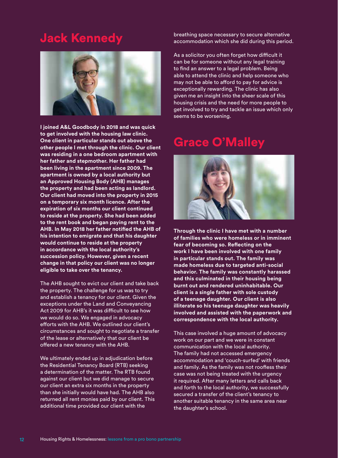### Jack Kennedy



**I joined A&L Goodbody in 2018 and was quick to get involved with the housing law clinic. One client in particular stands out above the other people I met through the clinic. Our client was residing in a one bedroom apartment with her father and stepmother. Her father had been living in the apartment since 2009. The apartment is owned by a local authority but an Approved Housing Body (AHB) manages the property and had been acting as landlord. Our client had moved into the property in 2015 on a temporary six month licence. After the expiration of six months our client continued to reside at the property. She had been added to the rent book and began paying rent to the AHB. In May 2018 her father notified the AHB of his intention to emigrate and that his daughter would continue to reside at the property in accordance with the local authority's succession policy. However, given a recent change in that policy our client was no longer eligible to take over the tenancy.** 

The AHB sought to evict our client and take back the property. The challenge for us was to try and establish a tenancy for our client. Given the exceptions under the Land and Conveyancing Act 2009 for AHB's it was difficult to see how we would do so. We engaged in advocacy efforts with the AHB. We outlined our client's circumstances and sought to negotiate a transfer of the lease or alternatively that our client be offered a new tenancy with the AHB.

We ultimately ended up in adjudication before the Residential Tenancy Board (RTB) seeking a determination of the matter. The RTB found against our client but we did manage to secure our client an extra six months in the property than she initially would have had. The AHB also returned all rent monies paid by our client. This additional time provided our client with the

breathing space necessary to secure alternative accommodation which she did during this period.

As a solicitor you often forget how difficult it can be for someone without any legal training to find an answer to a legal problem. Being able to attend the clinic and help someone who may not be able to afford to pay for advice is exceptionally rewarding. The clinic has also given me an insight into the sheer scale of this housing crisis and the need for more people to get involved to try and tackle an issue which only seems to be worsening.

### Grace O'Malley



**Through the clinic I have met with a number of families who were homeless or in imminent fear of becoming so. Reflecting on the work I have been involved with one family in particular stands out. The family was made homeless due to targeted anti-social behavior. The family was constantly harassed and this culminated in their housing being burnt out and rendered uninhabitable. Our client is a single father with sole custody of a teenage daughter. Our client is also illiterate so his teenage daughter was heavily involved and assisted with the paperwork and correspondence with the local authority.** 

This case involved a huge amount of advocacy work on our part and we were in constant communication with the local authority. The family had not accessed emergency accommodation and 'couch-surfed' with friends and family. As the family was not roofless their case was not being treated with the urgency it required. After many letters and calls back and forth to the local authority, we successfully secured a transfer of the client's tenancy to another suitable tenancy in the same area near the daughter's school.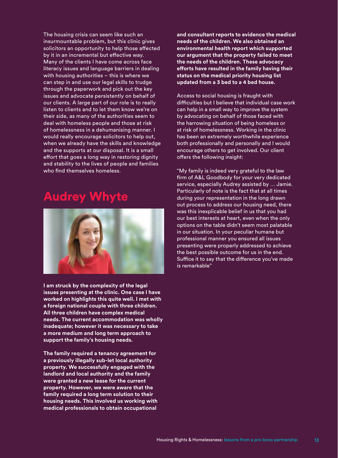The housing crisis can seem like such an insurmountable problem, but this clinic gives solicitors an opportunity to help those affected by it in an incremental but effective way. Many of the clients I have come across face literacy issues and language barriers in dealing with housing authorities – this is where we can step in and use our legal skills to trudge through the paperwork and pick out the key issues and advocate persistently on behalf of our clients. A large part of our role is to really listen to clients and to let them know we're on their side, as many of the authorities seem to deal with homeless people and those at risk of homelessness in a dehumanising manner. I would really encourage solicitors to help out, when we already have the skills and knowledge and the supports at our disposal. It is a small effort that goes a long way in restoring dignity and stability to the lives of people and families who find themselves homeless.

### Audrey Whyte



**I am struck by the complexity of the legal issues presenting at the clinic. One case I have worked on highlights this quite well. I met with a foreign national couple with three children. All three children have complex medical needs. The current accommodation was wholly inadequate; however it was necessary to take a more medium and long term approach to support the family's housing needs.** 

**The family required a tenancy agreement for a previously illegally sub-let local authority property. We successfully engaged with the landlord and local authority and the family were granted a new lease for the current property. However, we were aware that the family required a long term solution to their housing needs. This involved us working with medical professionals to obtain occupational** 

**and consultant reports to evidence the medical needs of the children. We also obtained an environmental health report which supported our argument that the property failed to meet the needs of the children. These advocacy efforts have resulted in the family having their status on the medical priority housing list updated from a 3 bed to a 4 bed house.** 

Access to social housing is fraught with difficulties but I believe that individual case work can help in a small way to improve the system by advocating on behalf of those faced with the harrowing situation of being homeless or at risk of homelessness. Working in the clinic has been an extremely worthwhile experience both professionally and personally and I would encourage others to get involved. Our client offers the following insight:

"My family is indeed very grateful to the law firm of A&L Goodbody for your very dedicated service, especially Audrey assisted by … Jamie. Particularly of note is the fact that at all times during your representation in the long drawn out process to address our housing need, there was this inexplicable belief in us that you had our best interests at heart, even when the only options on the table didn't seem most palatable in our situation. In your peculiar humane but professional manner you ensured all issues presenting were properly addressed to achieve the best possible outcome for us in the end. Suffice it to say that the difference you've made is remarkable"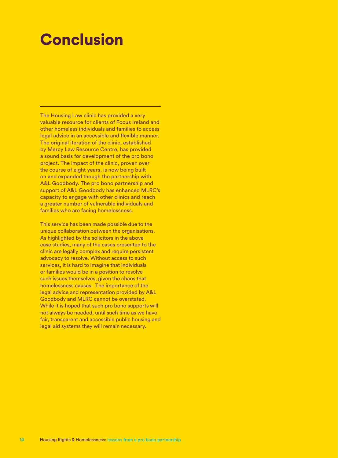# **Conclusion**

The Housing Law clinic has provided a very valuable resource for clients of Focus Ireland and other homeless individuals and families to access legal advice in an accessible and flexible manner. The original iteration of the clinic, established by Mercy Law Resource Centre, has provided a sound basis for development of the pro bono project. The impact of the clinic, proven over the course of eight years, is now being built on and expanded though the partnership with A&L Goodbody. The pro bono partnership and support of A&L Goodbody has enhanced MLRC's capacity to engage with other clinics and reach a greater number of vulnerable individuals and families who are facing homelessness.

This service has been made possible due to the unique collaboration between the organisations. As highlighted by the solicitors in the above case studies, many of the cases presented to the clinic are legally complex and require persistent advocacy to resolve. Without access to such services, it is hard to imagine that individuals or families would be in a position to resolve such issues themselves, given the chaos that homelessness causes. The importance of the legal advice and representation provided by A&L Goodbody and MLRC cannot be overstated. While it is hoped that such pro bono supports will not always be needed, until such time as we have fair, transparent and accessible public housing and legal aid systems they will remain necessary.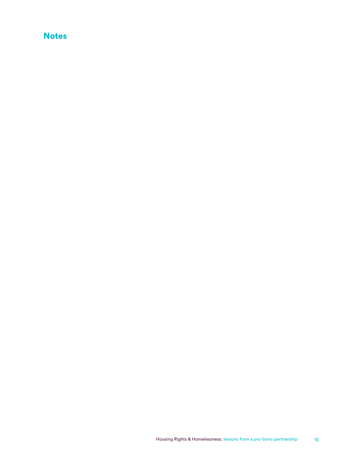#### **Notes**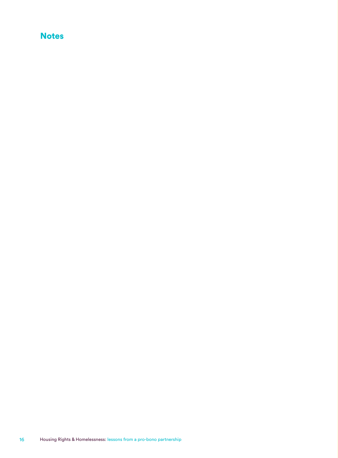#### **Notes**